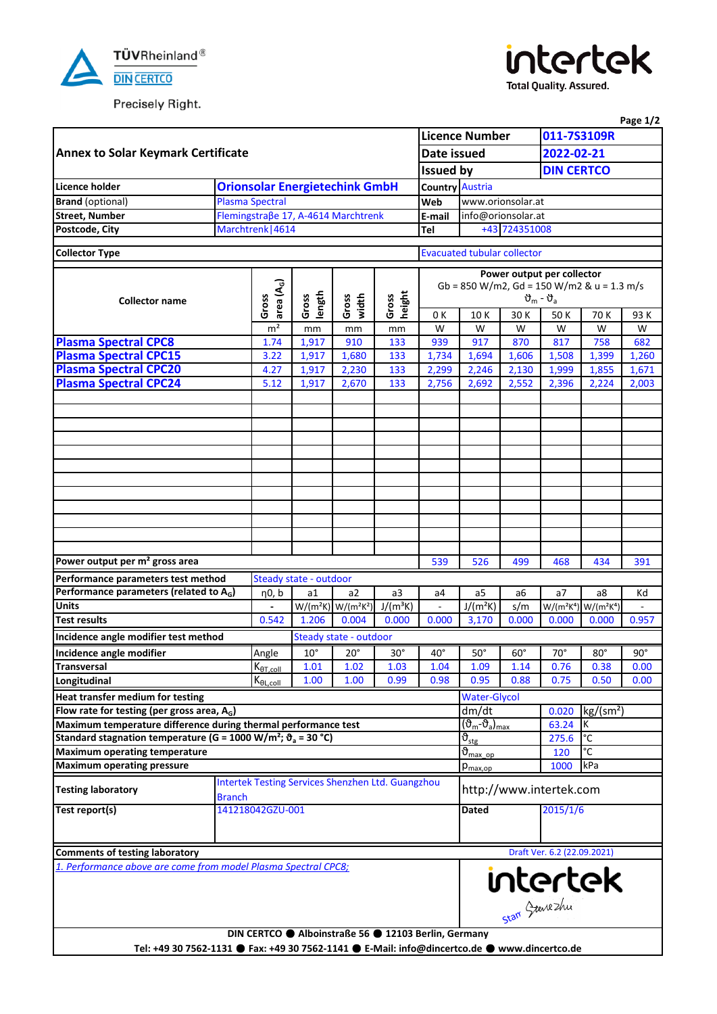

Precisely Right.



**Total Quality. Assured.** 

|                                                                                                |                  |                        |                        |                                                          |                 |                                                                                         |                                                            |                             |                   |                | Page 1/2     |  |  |
|------------------------------------------------------------------------------------------------|------------------|------------------------|------------------------|----------------------------------------------------------|-----------------|-----------------------------------------------------------------------------------------|------------------------------------------------------------|-----------------------------|-------------------|----------------|--------------|--|--|
| <b>Annex to Solar Keymark Certificate</b><br>Date issued<br><b>Issued by</b>                   |                  |                        |                        |                                                          |                 |                                                                                         | <b>Licence Number</b>                                      |                             | 011-7S3109R       |                |              |  |  |
|                                                                                                |                  |                        |                        |                                                          |                 |                                                                                         |                                                            |                             | 2022-02-21        |                |              |  |  |
|                                                                                                |                  |                        |                        |                                                          |                 |                                                                                         |                                                            |                             | <b>DIN CERTCO</b> |                |              |  |  |
| Licence holder                                                                                 |                  |                        |                        | <b>Orionsolar Energietechink GmbH</b>                    |                 |                                                                                         | <b>Country Austria</b>                                     |                             |                   |                |              |  |  |
| <b>Brand</b> (optional)                                                                        |                  | <b>Plasma Spectral</b> |                        |                                                          |                 | Web                                                                                     | www.orionsolar.at                                          |                             |                   |                |              |  |  |
| <b>Street, Number</b>                                                                          |                  |                        |                        | Flemingstraβe 17, A-4614 Marchtrenk                      |                 | E-mail                                                                                  | info@orionsolar.at                                         |                             |                   |                |              |  |  |
| Postcode, City                                                                                 |                  | Marchtrenk   4614      |                        |                                                          |                 |                                                                                         | +43 724351008                                              |                             |                   |                |              |  |  |
| <b>Collector Type</b>                                                                          |                  |                        |                        |                                                          |                 |                                                                                         | <b>Evacuated tubular collector</b>                         |                             |                   |                |              |  |  |
|                                                                                                |                  |                        |                        |                                                          |                 |                                                                                         |                                                            |                             |                   |                |              |  |  |
|                                                                                                |                  |                        |                        |                                                          |                 | Power output per collector                                                              |                                                            |                             |                   |                |              |  |  |
|                                                                                                |                  | area (A <sub>G</sub> ) |                        |                                                          |                 | Gb = 850 W/m2, Gd = 150 W/m2 & u = 1.3 m/s<br>$\vartheta_{\rm m}$ - $\vartheta_{\rm a}$ |                                                            |                             |                   |                |              |  |  |
| <b>Collector name</b>                                                                          |                  | Gross                  | length<br>Gross        | width<br>Gross                                           | height<br>Gross | 0 K                                                                                     | 10K                                                        | 30 K                        | 50 K              | 93 K           |              |  |  |
|                                                                                                |                  | m <sup>2</sup>         | mm                     | mm                                                       | mm              | W                                                                                       | W                                                          | W                           | W                 | 70 K<br>W      | W            |  |  |
| <b>Plasma Spectral CPC8</b>                                                                    |                  | 1.74                   | 1,917                  | 910                                                      | 133             | 939                                                                                     | 917                                                        | 870                         | 817               | 758            | 682          |  |  |
| <b>Plasma Spectral CPC15</b>                                                                   |                  | 3.22                   | 1,917                  | 1,680                                                    | 133             | 1,734                                                                                   | 1,694                                                      | 1,606                       | 1,508             | 1,399          | 1,260        |  |  |
| <b>Plasma Spectral CPC20</b>                                                                   |                  | 4.27                   | 1,917                  | 2,230                                                    | 133             | 2,299                                                                                   | 2,246                                                      | 2,130                       | 1,999             | 1,855          | 1,671        |  |  |
| <b>Plasma Spectral CPC24</b>                                                                   |                  | 5.12                   | 1,917                  | 2,670                                                    | 133             | 2,756                                                                                   | 2,692                                                      | 2,552                       | 2,396             | 2,224          | 2,003        |  |  |
|                                                                                                |                  |                        |                        |                                                          |                 |                                                                                         |                                                            |                             |                   |                |              |  |  |
|                                                                                                |                  |                        |                        |                                                          |                 |                                                                                         |                                                            |                             |                   |                |              |  |  |
|                                                                                                |                  |                        |                        |                                                          |                 |                                                                                         |                                                            |                             |                   |                |              |  |  |
|                                                                                                |                  |                        |                        |                                                          |                 |                                                                                         |                                                            |                             |                   |                |              |  |  |
|                                                                                                |                  |                        |                        |                                                          |                 |                                                                                         |                                                            |                             |                   |                |              |  |  |
|                                                                                                |                  |                        |                        |                                                          |                 |                                                                                         |                                                            |                             |                   |                |              |  |  |
|                                                                                                |                  |                        |                        |                                                          |                 |                                                                                         |                                                            |                             |                   |                |              |  |  |
|                                                                                                |                  |                        |                        |                                                          |                 |                                                                                         |                                                            |                             |                   |                |              |  |  |
|                                                                                                |                  |                        |                        |                                                          |                 |                                                                                         |                                                            |                             |                   |                |              |  |  |
|                                                                                                |                  |                        |                        |                                                          |                 |                                                                                         |                                                            |                             |                   |                |              |  |  |
|                                                                                                |                  |                        |                        |                                                          |                 |                                                                                         |                                                            |                             |                   |                |              |  |  |
| Power output per m <sup>2</sup> gross area                                                     |                  |                        |                        |                                                          |                 | 539                                                                                     | 526                                                        | 499                         | 468               | 434            | 391          |  |  |
| Performance parameters test method                                                             |                  |                        | Steady state - outdoor |                                                          |                 |                                                                                         |                                                            |                             |                   |                |              |  |  |
| Performance parameters (related to A <sub>G</sub> )                                            |                  | η0, b                  | a1                     | a2                                                       | a <sub>3</sub>  | a <sub>4</sub>                                                                          | a5                                                         | a6                          | a7                | a8             | Kd           |  |  |
| <b>Units</b>                                                                                   |                  |                        |                        | $W/(m^2K)$ $W/(m^2K^2)$                                  | $J/(m^3K)$      | ÷,                                                                                      | $J/(m^2K)$                                                 | s/m                         | $W/(m^2K^4)$      | $W/(m^2K^4)$   |              |  |  |
| <b>Test results</b>                                                                            |                  | 0.542                  | 1.206                  | 0.004                                                    | 0.000           | 0.000                                                                                   | 3.170                                                      | 0.000                       | 0.000             | 0.000          | 0.957        |  |  |
| Incidence angle modifier test method                                                           |                  |                        |                        | Steady state - outdoor                                   |                 |                                                                                         |                                                            |                             |                   |                |              |  |  |
| Incidence angle modifier                                                                       |                  | Angle                  |                        | $10^\circ$ 20 $^\circ$                                   | $30^\circ$      | $40^{\circ}$                                                                            | $50^\circ$                                                 | $60^\circ$                  | $70^{\circ}$      | $80^\circ$     | $90^{\circ}$ |  |  |
| <b>Transversal</b>                                                                             |                  | $K_{\theta T. coll}$   | 1.01                   | 1.02                                                     | 1.03            | 1.04                                                                                    | 1.09                                                       | 1.14                        | 0.76              | 0.38           | 0.00         |  |  |
| Longitudinal                                                                                   |                  | $K_{\theta L, coll}$   | 1.00                   | 1.00                                                     | 0.99            | 0.98                                                                                    | 0.95                                                       | 0.88                        | 0.75              | 0.50           | 0.00         |  |  |
| <b>Heat transfer medium for testing</b>                                                        |                  |                        |                        |                                                          |                 |                                                                                         | <b>Water-Glycol</b>                                        |                             |                   |                |              |  |  |
| Flow rate for testing (per gross area, A <sub>G</sub> )                                        |                  |                        |                        |                                                          |                 |                                                                                         | dm/dt                                                      |                             | 0.020             | $kg/(sm^2)$    |              |  |  |
| Maximum temperature difference during thermal performance test                                 |                  |                        |                        |                                                          |                 |                                                                                         | $(\overline{\vartheta_{m}}\overline{\vartheta_{a}})_{max}$ |                             | K<br>63.24        |                |              |  |  |
| Standard stagnation temperature (G = 1000 W/m <sup>2</sup> ; $\vartheta$ <sub>a</sub> = 30 °C) |                  |                        |                        |                                                          |                 |                                                                                         | 275.6<br>$\vartheta_{\text{stg}}$                          |                             |                   | $\overline{C}$ |              |  |  |
| Maximum operating temperature                                                                  |                  |                        |                        |                                                          |                 |                                                                                         | $\overline{\vartheta}_{\text{max op}}$<br>°C<br>120        |                             |                   |                |              |  |  |
| <b>Maximum operating pressure</b>                                                              |                  |                        |                        |                                                          |                 |                                                                                         |                                                            | $p_{\rm max,op}$            |                   | 1000<br>kPa    |              |  |  |
| <b>Testing laboratory</b>                                                                      | <b>Branch</b>    |                        |                        | <b>Intertek Testing Services Shenzhen Ltd. Guangzhou</b> |                 | http://www.intertek.com                                                                 |                                                            |                             |                   |                |              |  |  |
| Test report(s)                                                                                 | 141218042GZU-001 |                        |                        |                                                          | Dated           |                                                                                         | 2015/1/6                                                   |                             |                   |                |              |  |  |
|                                                                                                |                  |                        |                        |                                                          |                 |                                                                                         |                                                            |                             |                   |                |              |  |  |
|                                                                                                |                  |                        |                        |                                                          |                 |                                                                                         |                                                            |                             |                   |                |              |  |  |
| <b>Comments of testing laboratory</b>                                                          |                  |                        |                        |                                                          |                 |                                                                                         |                                                            | Draft Ver. 6.2 (22.09.2021) |                   |                |              |  |  |
| 1. Performance above are come from model Plasma Spectral CPC8;                                 |                  |                        |                        |                                                          |                 |                                                                                         |                                                            |                             |                   |                |              |  |  |
|                                                                                                |                  |                        |                        |                                                          |                 |                                                                                         | intertek                                                   |                             |                   |                |              |  |  |
|                                                                                                |                  |                        |                        | DIN CERTCO Alboinstraße 56 9 12103 Berlin, Germany       |                 |                                                                                         |                                                            |                             |                   |                |              |  |  |
| Tel: +49 30 7562-1131 ● Fax: +49 30 7562-1141 ● E-Mail: info@dincertco.de ● www.dincertco.de   |                  |                        |                        |                                                          |                 |                                                                                         |                                                            |                             |                   |                |              |  |  |